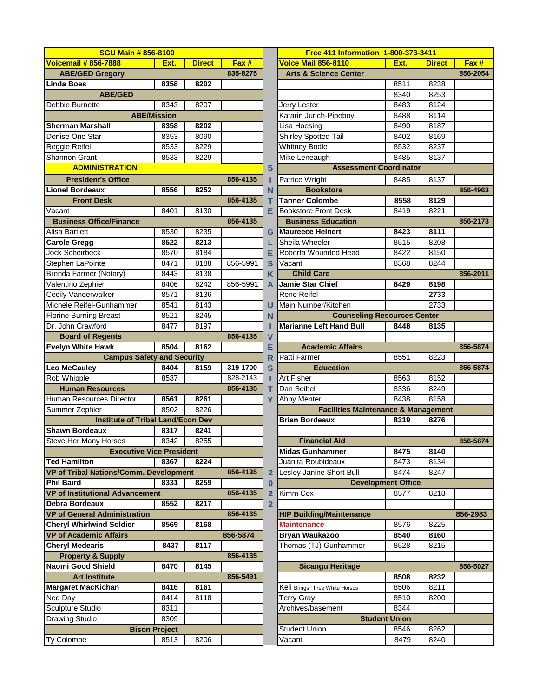| <b>SGU Main # 856-8100</b>                                 |                      |               |          |              | <b>Free 411 Information 1-800-373-3411</b>                           |                      |               |          |
|------------------------------------------------------------|----------------------|---------------|----------|--------------|----------------------------------------------------------------------|----------------------|---------------|----------|
| <b>Voicemail # 856-7888</b>                                | Ext.                 | <b>Direct</b> | Fax #    |              | <b>Voice Mail 856-8110</b>                                           | Ext.                 | <b>Direct</b> | Fax #    |
| <b>ABE/GED Gregory</b>                                     |                      |               | 835-8275 |              | <b>Arts &amp; Science Center</b>                                     |                      |               | 856-2054 |
| <b>Linda Boes</b>                                          | 8358                 | 8202          |          |              |                                                                      | 8511                 | 8238          |          |
| <b>ABE/GED</b>                                             |                      |               |          |              |                                                                      | 8340                 | 8253          |          |
| Debbie Burnette                                            | 8343                 | 8207          |          |              | Jerry Lester                                                         | 8483                 | 8124          |          |
|                                                            | <b>ABE/Mission</b>   |               |          |              | Katarin Jurich-Pipeboy                                               | 8488                 | 8114          |          |
| <b>Sherman Marshall</b>                                    | 8358                 | 8202          |          |              | Lisa Hoesing                                                         | 8490                 | 8187          |          |
| Denise One Star                                            | 8353                 | 8090          |          |              | Shirley Spotted Tail                                                 | 8402                 | 8169          |          |
| Reggie Reifel                                              | 8533                 | 8229          |          |              | <b>Whitney Bodle</b>                                                 | 8532                 | 8237          |          |
| Shannon Grant                                              | 8533                 | 8229          |          |              | Mike Leneaugh                                                        | 8485                 | 8137          |          |
| <b>ADMINISTRATION</b>                                      |                      |               |          | $\mathbf{s}$ | <b>Assessment Coordinator</b>                                        |                      |               |          |
| <b>President's Office</b>                                  |                      |               | 856-4135 |              | Patrice Wright                                                       | 8485                 | 8137          |          |
| <b>Lionel Bordeaux</b>                                     | 8556                 | 8252          |          | N            | <b>Bookstore</b>                                                     |                      |               | 856-4963 |
| <b>Front Desk</b>                                          |                      |               | 856-4135 | т            | <b>Tanner Colombe</b>                                                | 8558                 | 8129          |          |
| Vacant                                                     | 8401                 | 8130          |          | Е            | <b>Bookstore Front Desk</b>                                          | 8419                 | 8221          |          |
| <b>Business Office/Finance</b>                             |                      |               | 856-4135 |              | <b>Business Education</b>                                            |                      |               | 856-2173 |
| <b>Alisa Bartlett</b>                                      | 8530                 | 8235          |          | G            | <b>IMaureece Heinert</b>                                             | 8423                 | 8111          |          |
| <b>Carole Gregg</b>                                        | 8522                 | 8213          |          |              | Sheila Wheeler                                                       | 8515                 | 8208          |          |
| <b>Jock Scheirbeck</b>                                     | 8570                 | 8184          |          | Е            | Roberta Wounded Head                                                 | 8422                 | 8150          |          |
| Stephen LaPointe                                           | 8471                 | 8188          | 856-5991 | S            | Vacant                                                               | 8368                 | 8244          |          |
| Brenda Farmer (Notary)                                     | 8443                 | 8138          |          | K.           | <b>Child Care</b>                                                    |                      |               | 856-2011 |
| Valentino Zephier                                          | 8406                 | 8242          | 856-5991 | A            | Jamie Star Chief                                                     | 8429                 | 8198          |          |
| Cecily Vanderwalker                                        | 8571                 | 8136          |          |              | <b>Rene Reifel</b>                                                   |                      | 2733          |          |
| Michele Reifel-Gunhammer                                   | 8541                 | 8143          |          | U            | Main Number/Kitchen                                                  |                      | 2733          |          |
| <b>Florine Burning Breast</b>                              | 8521                 | 8245          |          |              |                                                                      |                      |               |          |
| Dr. John Crawford                                          | 8477                 | 8197          |          | N            | <b>Counseling Resources Center</b><br><b>Marianne Left Hand Bull</b> |                      |               |          |
|                                                            |                      |               | 856-4135 | $\mathbf v$  |                                                                      | 8448                 | 8135          |          |
| <b>Board of Regents</b><br><b>Evelyn White Hawk</b>        | 8504                 | 8162          |          | Е            | <b>Academic Affairs</b>                                              |                      |               | 856-5874 |
| <b>Campus Safety and Security</b>                          |                      |               |          |              | Patti Farmer                                                         | 8551                 | 8223          |          |
| <b>Leo McCauley</b>                                        | 8404                 | 8159          | 319-1700 | R<br>S       | <b>Education</b>                                                     |                      |               | 856-5874 |
| Rob Whipple                                                | 8537                 |               | 828-2143 |              | Art Fisher                                                           | 8563                 | 8152          |          |
| <b>Human Resources</b>                                     |                      |               | 856-4135 |              | Dan Seibel                                                           | 8336                 | 8249          |          |
| Human Resources Director                                   |                      |               |          | т            | Abby Menter                                                          | 8438                 | 8158          |          |
|                                                            | 8561<br>8502         | 8261<br>8226  |          | Y            | <b>Facilities Maintenance &amp; Management</b>                       |                      |               |          |
| Summer Zephier<br><b>Institute of Tribal Land/Econ Dev</b> |                      |               |          |              | <b>Brian Bordeaux</b>                                                | 8319                 | 8276          |          |
| <b>Shawn Bordeaux</b>                                      | 8317                 | 8241          |          |              |                                                                      |                      |               |          |
| Steve Her Many Horses                                      | 8342                 | 8255          |          |              |                                                                      |                      |               | 856-5874 |
| <b>Executive Vice President</b>                            |                      |               |          |              | <b>Financial Aid</b><br><b>Midas Gunhammer</b>                       | 8475                 | 8140          |          |
| <b>Ted Hamilton</b>                                        | 8367                 | 8224          |          |              | Juanita Roubideaux                                                   | 8473                 | 8134          |          |
| VP of Tribal Nations/Comm. Development                     |                      |               | 856-4135 |              | Lesley Janine Short Bull                                             | 8474                 | 8247          |          |
| <b>Phil Baird</b>                                          | 8331                 | 8259          |          | 2            | <b>Development Office</b>                                            |                      |               |          |
| <b>VP of Institutional Advancement</b>                     |                      |               | 856-4135 | $\bf{0}$     | Kimm Cox                                                             |                      |               |          |
| <b>Debra Bordeaux</b>                                      |                      |               |          | 2            |                                                                      | 8577                 | 8218          |          |
| <b>VP of General Administration</b>                        | 8552                 | 8217          | 856-4135 | $\mathbf{2}$ | <b>HIP Building/Maintenance</b>                                      |                      |               | 856-2983 |
|                                                            |                      |               |          |              |                                                                      |                      |               |          |
| <b>Cheryl Whirlwind Soldier</b>                            | 8569                 | 8168          |          |              | <b>Maintenance</b>                                                   | 8576                 | 8225          |          |
| <b>VP of Academic Affairs</b>                              |                      |               | 856-5874 |              | Bryan Waukazoo                                                       | 8540                 | 8160          |          |
| <b>Cheryl Medearis</b>                                     | 8437                 | 8117          |          |              | Thomas (TJ) Gunhammer                                                | 8528                 | 8215          |          |
| <b>Property &amp; Supply</b>                               |                      |               | 856-4135 |              |                                                                      |                      |               |          |
| Naomi Good Shield                                          | 8470                 | 8145          |          |              | <b>Sicangu Heritage</b>                                              |                      |               | 856-5027 |
| <b>Art Institute</b>                                       |                      |               | 856-5491 |              |                                                                      | 8508                 | 8232          |          |
| <b>Margaret MacKichan</b>                                  | 8416                 | 8161          |          |              | Keli Brings Three White Horses                                       | 8506                 | 8211          |          |
| Ned Day                                                    | 8414                 | 8118          |          |              | <b>Terry Gray</b>                                                    | 8510                 | 8200          |          |
| <b>Sculpture Studio</b>                                    | 8311                 |               |          |              | Archives/basement                                                    | 8344                 |               |          |
| <b>Drawing Studio</b>                                      | 8309                 |               |          |              |                                                                      | <b>Student Union</b> |               |          |
|                                                            | <b>Bison Project</b> |               |          |              | <b>Student Union</b>                                                 | 8546                 | 8262          |          |
| Ty Colombe                                                 | 8513                 | 8206          |          |              | Vacant                                                               | 8479                 | 8240          |          |

| <b>SGU Main # 856-8100</b>               |      |               |          |                | <b>Free 411 Information 1-800-373-3411</b>     |                      |               |          |  |  |
|------------------------------------------|------|---------------|----------|----------------|------------------------------------------------|----------------------|---------------|----------|--|--|
|                                          | Ext. | <b>Direct</b> | Fax #    |                | <b>Voice Mail 856-8110</b>                     | Ext.                 | <b>Direct</b> | Fax #    |  |  |
| <b>ABE/GED Gregory</b>                   |      |               | 835-8275 |                | <b>Arts &amp; Science Center</b>               |                      |               | 856-2054 |  |  |
| da Boes                                  | 8358 | 8202          |          |                |                                                | 8511                 | 8238          |          |  |  |
| <b>ABE/GED</b>                           |      |               |          |                |                                                | 8340                 | 8253          |          |  |  |
| bie Burnette                             | 8343 | 8207          |          |                | Jerry Lester                                   | 8483                 | 8124          |          |  |  |
| <b>ABE/Mission</b>                       |      |               |          |                | Katarin Jurich-Pipeboy                         | 8488                 | 8114          |          |  |  |
| rman Marshall                            | 8358 | 8202          |          |                | Lisa Hoesing                                   | 8490                 | 8187          |          |  |  |
| ise One Star                             | 8353 | 8090          |          |                | Shirley Spotted Tail                           | 8402                 | 8169          |          |  |  |
| gie Reifel                               | 8533 | 8229          |          |                | <b>Whitney Bodle</b>                           | 8532                 | 8237          |          |  |  |
| nnon Grant                               | 8533 | 8229          |          |                | Mike Leneaugh                                  | 8485                 | 8137          |          |  |  |
| <b>ADMINISTRATION</b>                    |      |               |          | S              | <b>Assessment Coordinator</b>                  |                      |               |          |  |  |
| <b>President's Office</b>                |      |               | 856-4135 |                | <b>Patrice Wright</b>                          | 8485                 | 8137          |          |  |  |
| <b>nel Bordeaux</b>                      | 8556 | 8252          |          | N              | <b>Bookstore</b>                               |                      |               | 856-4963 |  |  |
| <b>Front Desk</b>                        |      |               | 856-4135 | т              | <b>Tanner Colombe</b>                          | 8558                 | 8129          |          |  |  |
| ant                                      | 8401 | 8130          |          | Е              | <b>Bookstore Front Desk</b>                    | 8419                 | 8221          |          |  |  |
| usiness Office/Finance                   |      |               | 856-4135 |                | <b>Business Education</b>                      |                      |               | 856-2173 |  |  |
| a Bartlett                               | 8530 | 8235          |          | G              | <b>Maureece Heinert</b>                        | 8423                 | 8111          |          |  |  |
| ole Gregg                                | 8522 | 8213          |          |                | Sheila Wheeler                                 | 8515                 | 8208          |          |  |  |
| <b>Scheirbeck</b>                        | 8570 | 8184          |          | Е              | Roberta Wounded Head                           | 8422                 | 8150          |          |  |  |
| งhen LaPointe                            | 8471 | 8188          | 856-5991 | S              | Vacant                                         | 8368                 | 8244          |          |  |  |
| nda Farmer (Notary)                      | 8443 | 8138          |          | K              | <b>Child Care</b>                              |                      |               | 856-2011 |  |  |
| entino Zephier                           | 8406 | 8242          | 856-5991 | A              | <b>Jamie Star Chief</b>                        | 8429                 | 8198          |          |  |  |
| ily Vanderwalker                         | 8571 | 8136          |          |                | Rene Reifel                                    |                      | 2733          |          |  |  |
| nele Reifel-Gunhammer                    | 8541 | 8143          |          | U              | Main Number/Kitchen                            |                      | 2733          |          |  |  |
| ine Burning Breast                       | 8521 | 8245          |          | N              | <b>Counseling Resources Center</b>             |                      |               |          |  |  |
| John Crawford                            | 8477 | 8197          |          |                | <b>Marianne Left Hand Bull</b>                 | 8448                 | 8135          |          |  |  |
| <b>Board of Regents</b>                  |      |               | 856-4135 | $\mathsf{V}$   |                                                |                      |               |          |  |  |
| lyn White Hawk                           | 8504 | 8162          |          | Е              | <b>Academic Affairs</b>                        |                      |               | 856-5874 |  |  |
| <b>Campus Safety and Security</b>        |      |               |          | R              | Patti Farmer                                   | 8551                 | 8223          |          |  |  |
| <b>McCauley</b>                          | 8404 | 8159          | 319-1700 | S              | <b>Education</b>                               |                      |               | 856-5874 |  |  |
| Whipple                                  | 8537 |               | 828-2143 | п              | Art Fisher                                     | 8563                 | 8152          |          |  |  |
| <b>Human Resources</b>                   |      |               | 856-4135 | т              | Dan Seibel                                     | 8336                 | 8249          |          |  |  |
| nan Resources Director                   | 8561 | 8261          |          | Y              | <b>Abby Menter</b>                             | 8438                 | 8158          |          |  |  |
| mer Zephier                              | 8502 | 8226          |          |                | <b>Facilities Maintenance &amp; Management</b> |                      |               |          |  |  |
| <b>Institute of Tribal Land/Econ Dev</b> |      |               |          |                | <b>Brian Bordeaux</b>                          | 8319                 | 8276          |          |  |  |
| wn Bordeaux                              | 8317 | 8241          |          |                |                                                |                      |               |          |  |  |
| e Her Many Horses                        | 8342 | 8255          |          |                | <b>Financial Aid</b>                           |                      |               | 856-5874 |  |  |
| <b>Executive Vice President</b>          |      |               |          |                | <b>Midas Gunhammer</b>                         | 8475                 | 8140          |          |  |  |
| <b>Hamilton</b>                          | 8367 | 8224          |          |                | Juanita Roubideaux                             | 8473                 | 8134          |          |  |  |
| of Tribal Nations/Comm. Development      |      |               | 856-4135 | $\overline{2}$ | Lesley Janine Short Bull                       | 8474                 | 8247          |          |  |  |
| <b>Baird</b>                             | 8331 | 8259          |          | 0              | <b>Development Office</b>                      |                      |               |          |  |  |
| of Institutional Advancement             |      |               | 856-4135 | 2              | Kimm Cox                                       | 8577                 | 8218          |          |  |  |
| ra Bordeaux                              | 8552 | 8217          |          | $\mathbf{2}$   |                                                |                      |               |          |  |  |
| of General Administration                |      |               | 856-4135 |                | <b>HIP Building/Maintenance</b>                |                      |               | 856-2983 |  |  |
| ryl Whirlwind Soldier                    | 8569 | 8168          |          |                | <b>Maintenance</b>                             | 8576                 | 8225          |          |  |  |
| of Academic Affairs                      |      |               | 856-5874 |                | <b>Bryan Waukazoo</b>                          | 8540                 | 8160          |          |  |  |
| ryl Medearis                             | 8437 | 8117          |          |                | Thomas (TJ) Gunhammer                          | 8528                 | 8215          |          |  |  |
| <b>Property &amp; Supply</b>             |      |               | 856-4135 |                |                                                |                      |               |          |  |  |
| mi Good Shield                           | 8470 | 8145          |          |                | <b>Sicangu Heritage</b>                        |                      |               | 856-5027 |  |  |
| <b>Art Institute</b>                     |      |               | 856-5491 |                |                                                | 8508                 | 8232          |          |  |  |
| garet MacKichan                          | 8416 | 8161          |          |                | Keli Brings Three White Horses                 | 8506                 | 8211          |          |  |  |
| Day                                      | 8414 | 8118          |          |                | <b>Terry Gray</b>                              | 8510                 | 8200          |          |  |  |
| Ipture Studio                            | 8311 |               |          |                | Archives/basement                              | 8344                 |               |          |  |  |
| wing Studio                              | 8309 |               |          |                |                                                | <b>Student Union</b> |               |          |  |  |
| <b>Bison Project</b>                     |      |               |          |                | <b>Student Union</b>                           | 8546                 | 8262          |          |  |  |
| colombe                                  | 8513 | 8206          |          |                |                                                | 8479                 | 8240          |          |  |  |
|                                          |      |               |          |                | Vacant                                         |                      |               |          |  |  |